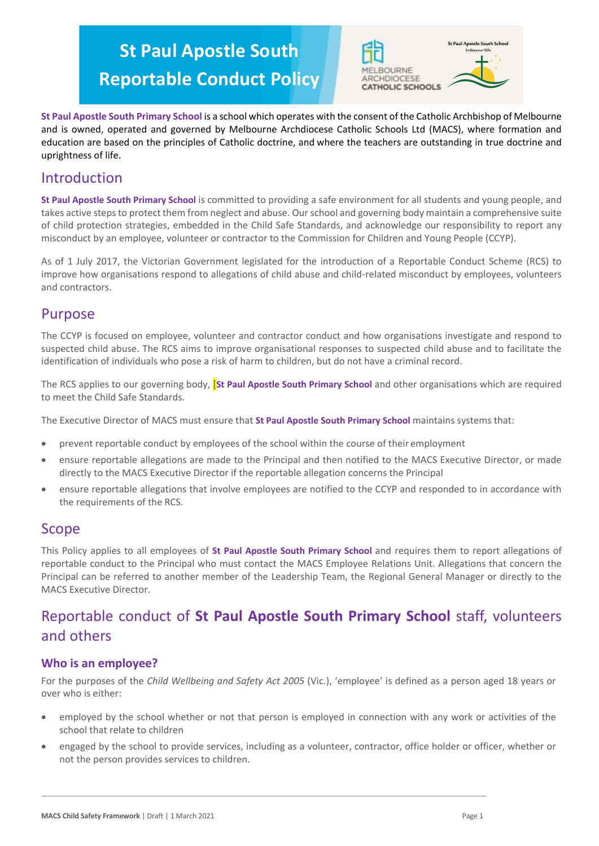# **St Paul Apostle South**



**Reportable Conduct Policy**

**St Paul Apostle South Primary School** is a school which operates with the consent of the Catholic Archbishop of Melbourne and is owned, operated and governed by Melbourne Archdiocese Catholic Schools Ltd (MACS), where formation and education are based on the principles of Catholic doctrine, and where the teachers are outstanding in true doctrine and uprightness of life.

# Introduction

**St Paul Apostle South Primary School** is committed to providing a safe environment for all students and young people, and takes active steps to protect them from neglect and abuse. Our school and governing body maintain a comprehensive suite of child protection strategies, embedded in the Child Safe Standards, and acknowledge our responsibility to report any misconduct by an employee, volunteer or contractor to the Commission for Children and Young People (CCYP).

As of 1 July 2017, the Victorian Government legislated for the introduction of a Reportable Conduct Scheme (RCS) to improve how organisations respond to allegations of child abuse and child-related misconduct by employees, volunteers and contractors.

# Purpose

The CCYP is focused on employee, volunteer and contractor conduct and how organisations investigate and respond to suspected child abuse. The RCS aims to improve organisational responses to suspected child abuse and to facilitate the identification of individuals who pose a risk of harm to children, but do not have a criminal record.

The RCS applies to our governing body, [**St Paul Apostle South Primary School** and other organisations which are required to meet the Child Safe Standards.

The Executive Director of MACS must ensure that **St Paul Apostle South Primary School** maintains systems that:

- prevent reportable conduct by employees of the school within the course of their employment
- ensure reportable allegations are made to the Principal and then notified to the MACS Executive Director, or made directly to the MACS Executive Director if the reportable allegation concerns the Principal
- ensure reportable allegations that involve employees are notified to the CCYP and responded to in accordance with the requirements of the RCS.

## Scope

This Policy applies to all employees of **St Paul Apostle South Primary School** and requires them to report allegations of reportable conduct to the Principal who must contact the MACS Employee Relations Unit. Allegations that concern the Principal can be referred to another member of the Leadership Team, the Regional General Manager or directly to the MACS Executive Director.

# Reportable conduct of **St Paul Apostle South Primary School** staff, volunteers and others

### **Who is an employee?**

For the purposes of the *Child Wellbeing and Safety Act 2005* (Vic.), 'employee' is defined as a person aged 18 years or over who is either:

- employed by the school whether or not that person is employed in connection with any work or activities of the school that relate to children
- engaged by the school to provide services, including as a volunteer, contractor, office holder or officer, whether or not the person provides services to children.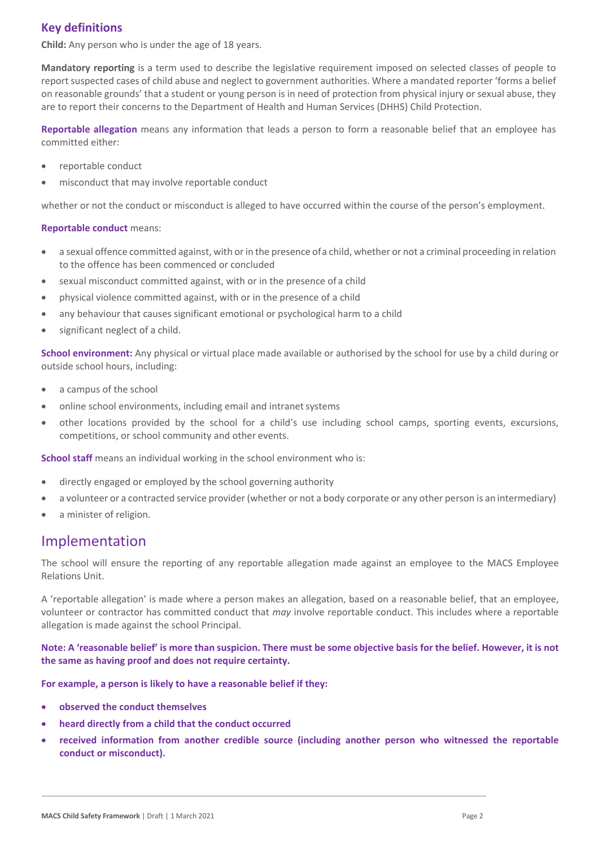## **Key definitions**

**Child:** Any person who is under the age of 18 years.

**Mandatory reporting** is a term used to describe the legislative requirement imposed on selected classes of people to report suspected cases of child abuse and neglect to government authorities. Where a mandated reporter 'forms a belief on reasonable grounds' that a student or young person is in need of protection from physical injury or sexual abuse, they are to report their concerns to the Department of Health and Human Services (DHHS) Child Protection.

**Reportable allegation** means any information that leads a person to form a reasonable belief that an employee has committed either:

- reportable conduct
- misconduct that may involve reportable conduct

whether or not the conduct or misconduct is alleged to have occurred within the course of the person's employment.

#### **Reportable conduct** means:

- a sexual offence committed against, with or in the presence ofa child, whether or not a criminal proceeding in relation to the offence has been commenced or concluded
- sexual misconduct committed against, with or in the presence of a child
- physical violence committed against, with or in the presence of a child
- any behaviour that causes significant emotional or psychological harm to a child
- significant neglect of a child.

**School environment:** Any physical or virtual place made available or authorised by the school for use by a child during or outside school hours, including:

- a campus of the school
- online school environments, including email and intranet systems
- other locations provided by the school for a child's use including school camps, sporting events, excursions, competitions, or school community and other events.

**School staff** means an individual working in the school environment who is:

- directly engaged or employed by the school governing authority
- a volunteer or a contracted service provider (whether or not a body corporate or any other person is an intermediary)
- a minister of religion.

# Implementation

The school will ensure the reporting of any reportable allegation made against an employee to the MACS Employee Relations Unit.

A 'reportable allegation' is made where a person makes an allegation, based on a reasonable belief, that an employee, volunteer or contractor has committed conduct that *may* involve reportable conduct. This includes where a reportable allegation is made against the school Principal.

**Note: A 'reasonable belief' is more than suspicion. There must be some objective basis for the belief. However, it is not the same as having proof and does not require certainty.**

#### **For example, a person is likely to have a reasonable belief if they:**

- **observed the conduct themselves**
- **heard directly from a child that the conduct occurred**
- **received information from another credible source (including another person who witnessed the reportable conduct or misconduct).**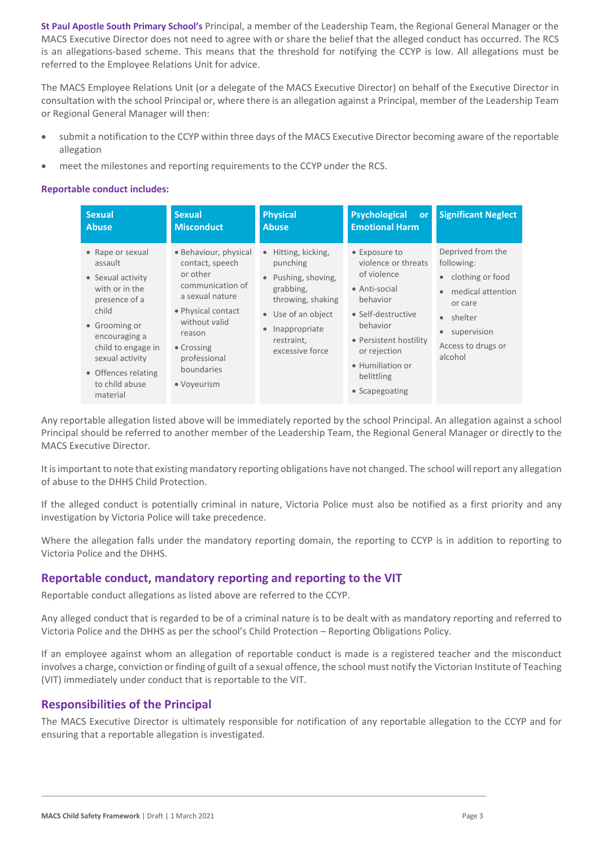**St Paul Apostle South Primary School's** Principal, a member of the Leadership Team, the Regional General Manager or the MACS Executive Director does not need to agree with or share the belief that the alleged conduct has occurred. The RCS is an allegations-based scheme. This means that the threshold for notifying the CCYP is low. All allegations must be referred to the Employee Relations Unit for advice.

The MACS Employee Relations Unit (or a delegate of the MACS Executive Director) on behalf of the Executive Director in consultation with the school Principal or, where there is an allegation against a Principal, member of the Leadership Team or Regional General Manager will then:

- submit a notification to the CCYP within three days of the MACS Executive Director becoming aware of the reportable allegation
- meet the milestones and reporting requirements to the CCYP under the RCS.

#### **Reportable conduct includes:**

| <b>Sexual</b><br><b>Abuse</b>                                                                                                                                                                                                | <b>Sexual</b><br><b>Misconduct</b>                                                                                                                                                                      | <b>Physical</b><br><b>Abuse</b>                                                                                                                                           | <b>Psychological</b><br><b>or</b><br><b>Emotional Harm</b>                                                                                                                                                       | <b>Significant Neglect</b>                                                                                                                                  |
|------------------------------------------------------------------------------------------------------------------------------------------------------------------------------------------------------------------------------|---------------------------------------------------------------------------------------------------------------------------------------------------------------------------------------------------------|---------------------------------------------------------------------------------------------------------------------------------------------------------------------------|------------------------------------------------------------------------------------------------------------------------------------------------------------------------------------------------------------------|-------------------------------------------------------------------------------------------------------------------------------------------------------------|
| • Rape or sexual<br>assault<br>• Sexual activity<br>with or in the<br>presence of a<br>child<br>• Grooming or<br>encouraging a<br>child to engage in<br>sexual activity<br>• Offences relating<br>to child abuse<br>material | · Behaviour, physical<br>contact, speech<br>or other<br>communication of<br>a sexual nature<br>• Physical contact<br>without valid<br>reason<br>• Crossing<br>professional<br>boundaries<br>• Voyeurism | Hitting, kicking,<br>punching<br>Pushing, shoving,<br>$\bullet$<br>grabbing,<br>throwing, shaking<br>• Use of an object<br>Inappropriate<br>restraint,<br>excessive force | • Exposure to<br>violence or threats<br>of violence<br>• Anti-social<br>behavior<br>• Self-destructive<br>behavior<br>• Persistent hostility<br>or rejection<br>• Humiliation or<br>belittling<br>• Scapegoating | Deprived from the<br>following:<br>clothing or food<br>medical attention<br>or care<br>shelter<br>$\bullet$<br>supervision<br>Access to drugs or<br>alcohol |

Any reportable allegation listed above will be immediately reported by the school Principal. An allegation against a school Principal should be referred to another member of the Leadership Team, the Regional General Manager or directly to the MACS Executive Director.

It is important to note that existing mandatory reporting obligations have not changed. The school will report any allegation of abuse to the DHHS Child Protection.

If the alleged conduct is potentially criminal in nature, Victoria Police must also be notified as a first priority and any investigation by Victoria Police will take precedence.

Where the allegation falls under the mandatory reporting domain, the reporting to CCYP is in addition to reporting to Victoria Police and the DHHS.

### **Reportable conduct, mandatory reporting and reporting to the VIT**

Reportable conduct allegations as listed above are referred to the CCYP.

Any alleged conduct that is regarded to be of a criminal nature is to be dealt with as mandatory reporting and referred to Victoria Police and the DHHS as per the school's Child Protection – Reporting Obligations Policy.

If an employee against whom an allegation of reportable conduct is made is a registered teacher and the misconduct involves a charge, conviction or finding of guilt of a sexual offence, the school must notify the Victorian Institute of Teaching (VIT) immediately under conduct that is reportable to the VIT.

### **Responsibilities of the Principal**

The MACS Executive Director is ultimately responsible for notification of any reportable allegation to the CCYP and for ensuring that a reportable allegation is investigated.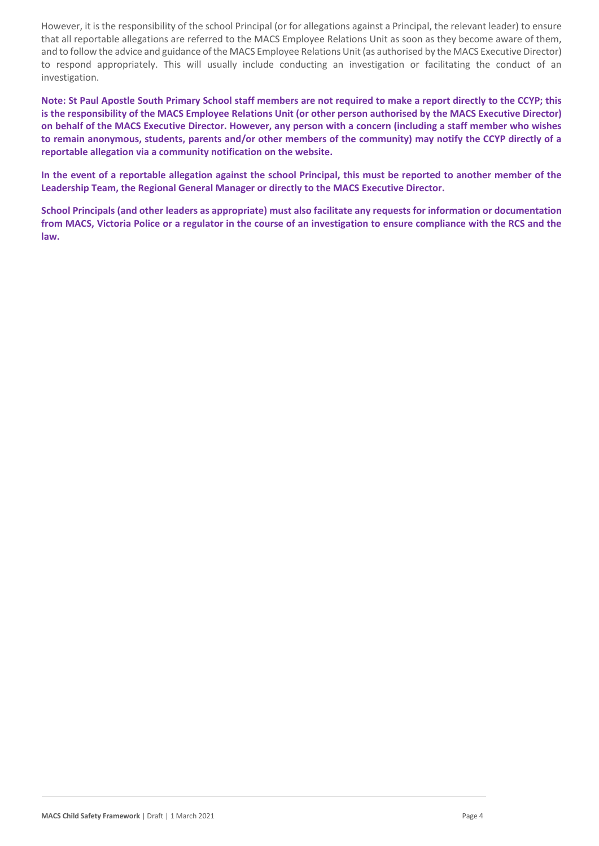However, it is the responsibility of the school Principal (or for allegations against a Principal, the relevant leader) to ensure that all reportable allegations are referred to the MACS Employee Relations Unit as soon as they become aware of them, and to follow the advice and guidance of the MACS Employee Relations Unit (as authorised by the MACS Executive Director) to respond appropriately. This will usually include conducting an investigation or facilitating the conduct of an investigation.

**Note: St Paul Apostle South Primary School staff members are not required to make a report directly to the CCYP; this is the responsibility of the MACS Employee Relations Unit (or other person authorised by the MACS Executive Director) on behalf of the MACS Executive Director. However, any person with a concern (including a staff member who wishes to remain anonymous, students, parents and/or other members of the community) may notify the CCYP directly of a reportable allegation via a community notification on the website.**

**In the event of a reportable allegation against the school Principal, this must be reported to another member of the Leadership Team, the Regional General Manager or directly to the MACS Executive Director.**

**School Principals (and other leaders as appropriate) must also facilitate any requests for information or documentation from MACS, Victoria Police or a regulator in the course of an investigation to ensure compliance with the RCS and the law.**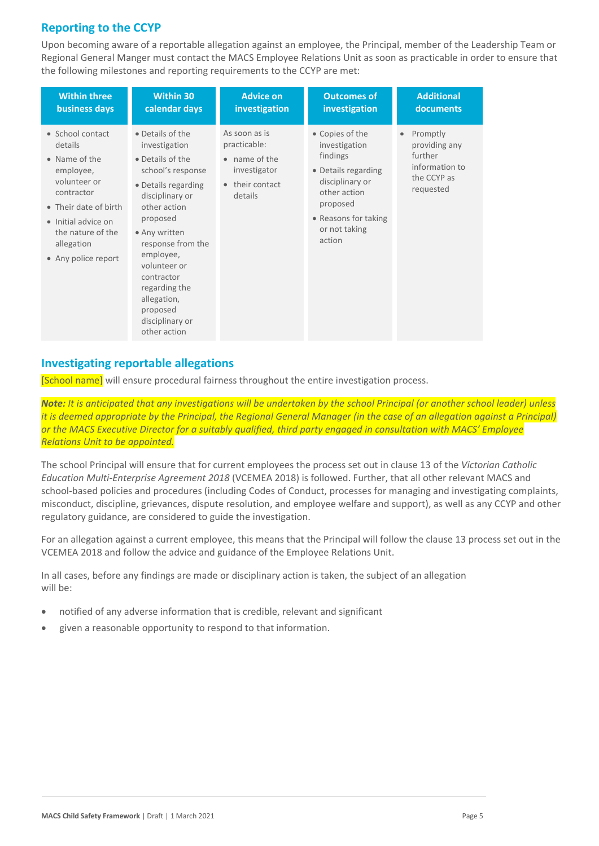# **Reporting to the CCYP**

Upon becoming aware of a reportable allegation against an employee, the Principal, member of the Leadership Team or Regional General Manger must contact the MACS Employee Relations Unit as soon as practicable in order to ensure that the following milestones and reporting requirements to the CCYP are met:

| <b>Within three</b>                                                                                                                                                                               | <b>Within 30</b>                                                                                                                                                                                                                                                                                                 | <b>Advice on</b>                                                                                        | <b>Outcomes of</b>                                                                                                                                                    | <b>Additional</b>                                                                               |
|---------------------------------------------------------------------------------------------------------------------------------------------------------------------------------------------------|------------------------------------------------------------------------------------------------------------------------------------------------------------------------------------------------------------------------------------------------------------------------------------------------------------------|---------------------------------------------------------------------------------------------------------|-----------------------------------------------------------------------------------------------------------------------------------------------------------------------|-------------------------------------------------------------------------------------------------|
| business days                                                                                                                                                                                     | calendar days                                                                                                                                                                                                                                                                                                    | investigation                                                                                           | investigation                                                                                                                                                         | documents                                                                                       |
| • School contact<br>details<br>• Name of the<br>employee,<br>volunteer or<br>contractor<br>• Their date of birth<br>• Initial advice on<br>the nature of the<br>allegation<br>• Any police report | • Details of the<br>investigation<br>• Details of the<br>school's response<br>• Details regarding<br>disciplinary or<br>other action<br>proposed<br>• Any written<br>response from the<br>employee,<br>volunteer or<br>contractor<br>regarding the<br>allegation,<br>proposed<br>disciplinary or<br>other action | As soon as is<br>practicable:<br>• name of the<br>investigator<br>their contact<br>$\bullet$<br>details | • Copies of the<br>investigation<br>findings<br>• Details regarding<br>disciplinary or<br>other action<br>proposed<br>• Reasons for taking<br>or not taking<br>action | Promptly<br>$\bullet$<br>providing any<br>further<br>information to<br>the CCYP as<br>requested |

### **Investigating reportable allegations**

[School name] will ensure procedural fairness throughout the entire investigation process.

*Note: It is anticipated that any investigations will be undertaken by the school Principal (or another school leader) unless it is deemed appropriate by the Principal, the Regional General Manager (in the case of an allegation against a Principal) or the MACS Executive Director for a suitably qualified, third party engaged in consultation with MACS' Employee Relations Unit to be appointed.*

The school Principal will ensure that for current employees the process set out in clause 13 of the *Victorian Catholic Education Multi-Enterprise Agreement 2018* (VCEMEA 2018) is followed. Further, that all other relevant MACS and school-based policies and procedures (including Codes of Conduct, processes for managing and investigating complaints, misconduct, discipline, grievances, dispute resolution, and employee welfare and support), as well as any CCYP and other regulatory guidance, are considered to guide the investigation.

For an allegation against a current employee, this means that the Principal will follow the clause 13 process set out in the VCEMEA 2018 and follow the advice and guidance of the Employee Relations Unit.

In all cases, before any findings are made or disciplinary action is taken, the subject of an allegation will be:

- notified of any adverse information that is credible, relevant and significant
- given a reasonable opportunity to respond to that information.